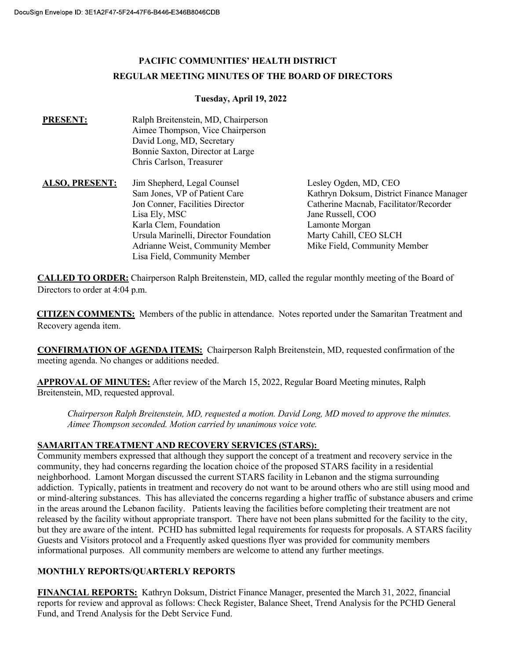# PACIFIC COMMUNITIES' HEALTH DISTRICT REGULAR MEETING MINUTES OF THE BOARD OF DIRECTORS

### Tuesday, April 19, 2022

| <b>PRESENT:</b>       | Ralph Breitenstein, MD, Chairperson<br>Aimee Thompson, Vice Chairperson<br>David Long, MD, Secretary<br>Bonnie Saxton, Director at Large |                                          |
|-----------------------|------------------------------------------------------------------------------------------------------------------------------------------|------------------------------------------|
|                       | Chris Carlson, Treasurer                                                                                                                 |                                          |
| <b>ALSO, PRESENT:</b> | Jim Shepherd, Legal Counsel                                                                                                              | Lesley Ogden, MD, CEO                    |
|                       | Sam Jones, VP of Patient Care                                                                                                            | Kathryn Doksum, District Finance Manager |
|                       | Jon Conner, Facilities Director                                                                                                          | Catherine Macnab, Facilitator/Recorder   |
|                       | Lisa Ely, MSC                                                                                                                            | Jane Russell, COO                        |
|                       | Karla Clem, Foundation                                                                                                                   | Lamonte Morgan                           |
|                       | Ursula Marinelli, Director Foundation                                                                                                    | Marty Cahill, CEO SLCH                   |
|                       | Adrianne Weist, Community Member                                                                                                         | Mike Field, Community Member             |
|                       | Lisa Field, Community Member                                                                                                             |                                          |

CALLED TO ORDER: Chairperson Ralph Breitenstein, MD, called the regular monthly meeting of the Board of Directors to order at 4:04 p.m.

CITIZEN COMMENTS: Members of the public in attendance. Notes reported under the Samaritan Treatment and Recovery agenda item.

CONFIRMATION OF AGENDA ITEMS: Chairperson Ralph Breitenstein, MD, requested confirmation of the meeting agenda. No changes or additions needed.

APPROVAL OF MINUTES: After review of the March 15, 2022, Regular Board Meeting minutes, Ralph Breitenstein, MD, requested approval.

Chairperson Ralph Breitenstein, MD, requested a motion. David Long, MD moved to approve the minutes. Aimee Thompson seconded. Motion carried by unanimous voice vote.

## SAMARITAN TREATMENT AND RECOVERY SERVICES (STARS):

Community members expressed that although they support the concept of a treatment and recovery service in the community, they had concerns regarding the location choice of the proposed STARS facility in a residential neighborhood. Lamont Morgan discussed the current STARS facility in Lebanon and the stigma surrounding addiction. Typically, patients in treatment and recovery do not want to be around others who are still using mood and or mind-altering substances. This has alleviated the concerns regarding a higher traffic of substance abusers and crime in the areas around the Lebanon facility. Patients leaving the facilities before completing their treatment are not released by the facility without appropriate transport. There have not been plans submitted for the facility to the city, but they are aware of the intent. PCHD has submitted legal requirements for requests for proposals. A STARS facility Guests and Visitors protocol and a Frequently asked questions flyer was provided for community members informational purposes. All community members are welcome to attend any further meetings. Chairperson Ralph Breitenstein, MD, requested a motion. David Long, MD m<br>Aimee Thompson seconded. Motion carried by unanimous voice vote.<br>SAMARITAN TREATMENT AND RECOVERY SERVICES (STARS):<br>Community members expressed that

## MONTHLY REPORTS/QUARTERLY REPORTS

FINANCIAL REPORTS: Kathryn Doksum, District Finance Manager, presented the March 31, 2022, financial reports for review and approval as follows: Check Register, Balance Sheet, Trend Analysis for the PCHD General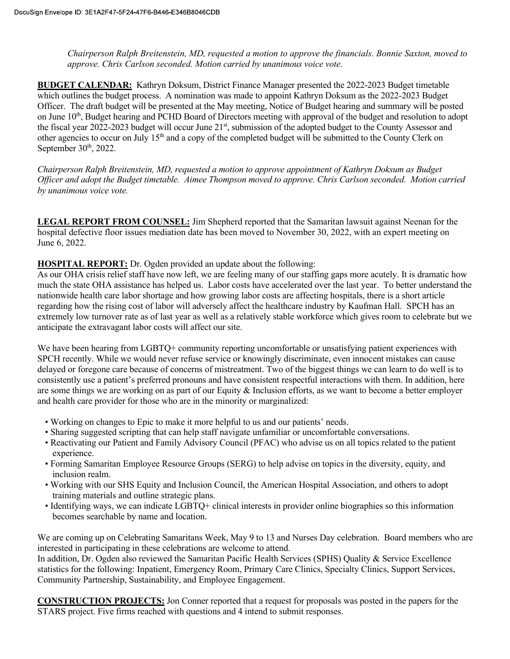Chairperson Ralph Breitenstein, MD, requested a motion to approve the financials. Bonnie Saxton, moved to approve. Chris Carlson seconded. Motion carried by unanimous voice vote.

BUDGET CALENDAR: Kathryn Doksum, District Finance Manager presented the 2022-2023 Budget timetable which outlines the budget process. A nomination was made to appoint Kathryn Doksum as the 2022-2023 Budget Officer. The draft budget will be presented at the May meeting, Notice of Budget hearing and summary will be posted on June  $10<sup>th</sup>$ , Budget hearing and PCHD Board of Directors meeting with approval of the budget and resolution to adopt the fiscal year 2022-2023 budget will occur June 21<sup>st</sup>, submission of the adopted budget to the County Assessor and other agencies to occur on July 15<sup>th</sup> and a copy of the completed budget will be submitted to the County Clerk on September  $30<sup>th</sup>$ , 2022.

Chairperson Ralph Breitenstein, MD, requested a motion to approve appointment of Kathryn Doksum as Budget Officer and adopt the Budget timetable. Aimee Thompson moved to approve. Chris Carlson seconded. Motion carried by unanimous voice vote.

LEGAL REPORT FROM COUNSEL: Jim Shepherd reported that the Samaritan lawsuit against Neenan for the hospital defective floor issues mediation date has been moved to November 30, 2022, with an expert meeting on June 6, 2022.

HOSPITAL REPORT: Dr. Ogden provided an update about the following:

As our OHA crisis relief staff have now left, we are feeling many of our staffing gaps more acutely. It is dramatic how much the state OHA assistance has helped us. Labor costs have accelerated over the last year. To better understand the nationwide health care labor shortage and how growing labor costs are affecting hospitals, there is a short article regarding how the rising cost of labor will adversely affect the healthcare industry by Kaufman Hall. SPCH has an extremely low turnover rate as of last year as well as a relatively stable workforce which gives room to celebrate but we anticipate the extravagant labor costs will affect our site. Chair presented Rading Foreintstin, MD, requested a motion to approve appointment of Kathryn Doksum as Budget<br>Ufficer and adapt the Budget timetable. Aimee Thompson moved to approve. Chris Carlson seconded. Motion carried

We have been hearing from LGBTQ+ community reporting uncomfortable or unsatisfying patient experiences with SPCH recently. While we would never refuse service or knowingly discriminate, even innocent mistakes can cause delayed or foregone care because of concerns of mistreatment. Two of the biggest things we can learn to do well is to are some things we are working on as part of our Equity & Inclusion efforts, as we want to become a better employer and health care provider for those who are in the minority or marginalized:

- Working on changes to Epic to make it more helpful to us and our patients' needs.
- Sharing suggested scripting that can help staff navigate unfamiliar or uncomfortable conversations.
- Reactivating our Patient and Family Advisory Council (PFAC) who advise us on all topics related to the patient experience.
- Forming Samaritan Employee Resource Groups (SERG) to help advise on topics in the diversity, equity, and inclusion realm.
- Working with our SHS Equity and Inclusion Council, the American Hospital Association, and others to adopt training materials and outline strategic plans.
- Identifying ways, we can indicate LGBTQ+ clinical interests in provider online biographies so this information becomes searchable by name and location.

We are coming up on Celebrating Samaritans Week, May 9 to 13 and Nurses Day celebration. Board members who are interested in participating in these celebrations are welcome to attend.

In addition, Dr. Ogden also reviewed the Samaritan Pacific Health Services (SPHS) Quality & Service Excellence statistics for the following: Inpatient, Emergency Room, Primary Care Clinics, Specialty Clinics, Support Services, Community Partnership, Sustainability, and Employee Engagement.

CONSTRUCTION PROJECTS: Jon Conner reported that a request for proposals was posted in the papers for the STARS project. Five firms reached with questions and 4 intend to submit responses.